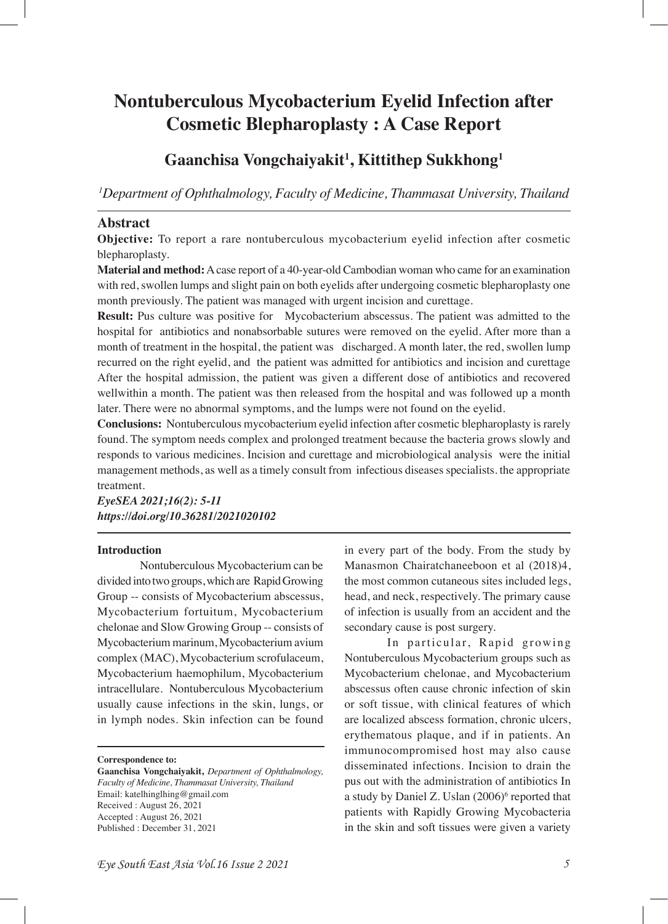# **Nontuberculous Mycobacterium Eyelid Infection after Cosmetic Blepharoplasty : A Case Report**

# **Gaanchisa Vongchaiyakit1 , Kittithep Sukkhong1**

*1 Department of Ophthalmology, Faculty of Medicine, Thammasat University, Thailand* 

# **Abstract**

**Objective:** To report a rare nontuberculous mycobacterium eyelid infection after cosmetic blepharoplasty.

**Material and method:** A case report of a 40-year-old Cambodian woman who came for an examination with red, swollen lumps and slight pain on both eyelids after undergoing cosmetic blepharoplasty one month previously. The patient was managed with urgent incision and curettage.

**Result:** Pus culture was positive for Mycobacterium abscessus. The patient was admitted to the hospital for antibiotics and nonabsorbable sutures were removed on the eyelid. After more than a month of treatment in the hospital, the patient was discharged. A month later, the red, swollen lump recurred on the right eyelid, and the patient was admitted for antibiotics and incision and curettage After the hospital admission, the patient was given a different dose of antibiotics and recovered wellwithin a month. The patient was then released from the hospital and was followed up a month later. There were no abnormal symptoms, and the lumps were not found on the eyelid.

**Conclusions:** Nontuberculous mycobacterium eyelid infection after cosmetic blepharoplasty is rarely found. The symptom needs complex and prolonged treatment because the bacteria grows slowly and responds to various medicines. Incision and curettage and microbiological analysis were the initial management methods, as well as a timely consult from infectious diseases specialists. the appropriate treatment.

*EyeSEA 2021;16(2): 5-11 https://doi.org/10.36281/2021020102*

#### **Introduction**

Nontuberculous Mycobacterium can be divided into two groups, which are Rapid Growing Group -- consists of Mycobacterium abscessus, Mycobacterium fortuitum, Mycobacterium chelonae and Slow Growing Group -- consists of Mycobacterium marinum, Mycobacterium avium complex (MAC), Mycobacterium scrofulaceum, Mycobacterium haemophilum, Mycobacterium intracellulare. Nontuberculous Mycobacterium usually cause infections in the skin, lungs, or in lymph nodes. Skin infection can be found

**Correspondence to:**

**Gaanchisa Vongchaiyakit,** *Department of Ophthalmology, Faculty of Medicine, Thammasat University, Thailand*  Email: katelhinglhing@gmail.com Received : August 26, 2021 Accepted : August 26, 2021 Published : December 31, 2021

in every part of the body. From the study by Manasmon Chairatchaneeboon et al (2018)4, the most common cutaneous sites included legs, head, and neck, respectively. The primary cause of infection is usually from an accident and the secondary cause is post surgery.

In particular, Rapid growing Nontuberculous Mycobacterium groups such as Mycobacterium chelonae, and Mycobacterium abscessus often cause chronic infection of skin or soft tissue, with clinical features of which are localized abscess formation, chronic ulcers, erythematous plaque, and if in patients. An immunocompromised host may also cause disseminated infections. Incision to drain the pus out with the administration of antibiotics In a study by Daniel Z. Uslan (2006)<sup>6</sup> reported that patients with Rapidly Growing Mycobacteria in the skin and soft tissues were given a variety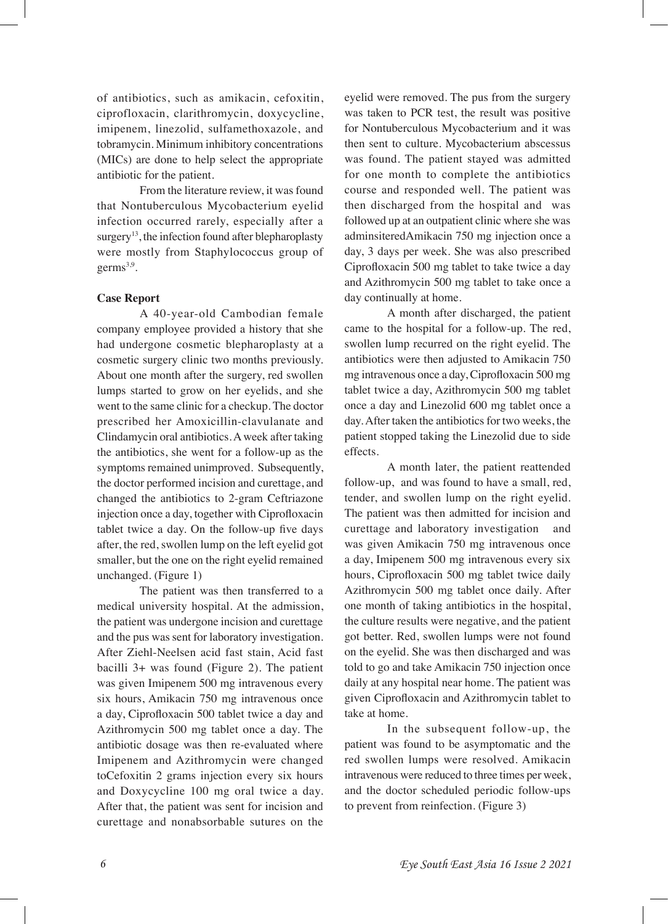of antibiotics, such as amikacin, cefoxitin, ciprofloxacin, clarithromycin, doxycycline, imipenem, linezolid, sulfamethoxazole, and tobramycin. Minimum inhibitory concentrations (MICs) are done to help select the appropriate antibiotic for the patient.

From the literature review, it was found that Nontuberculous Mycobacterium eyelid infection occurred rarely, especially after a surgery<sup>13</sup>, the infection found after blepharoplasty were mostly from Staphylococcus group of germ $s^{3,9}$ .

#### **Case Report**

A 40-year-old Cambodian female company employee provided a history that she had undergone cosmetic blepharoplasty at a cosmetic surgery clinic two months previously. About one month after the surgery, red swollen lumps started to grow on her eyelids, and she went to the same clinic for a checkup. The doctor prescribed her Amoxicillin-clavulanate and Clindamycin oral antibiotics. A week after taking the antibiotics, she went for a follow-up as the symptoms remained unimproved. Subsequently, the doctor performed incision and curettage, and changed the antibiotics to 2-gram Ceftriazone injection once a day, together with Ciprofoxacin tablet twice a day. On the follow-up fve days after, the red, swollen lump on the left eyelid got smaller, but the one on the right eyelid remained unchanged. (Figure 1)

The patient was then transferred to a medical university hospital. At the admission, the patient was undergone incision and curettage and the pus was sent for laboratory investigation. After Ziehl-Neelsen acid fast stain, Acid fast bacilli 3+ was found (Figure 2). The patient was given Imipenem 500 mg intravenous every six hours, Amikacin 750 mg intravenous once a day, Ciprofoxacin 500 tablet twice a day and Azithromycin 500 mg tablet once a day. The antibiotic dosage was then re-evaluated where Imipenem and Azithromycin were changed toCefoxitin 2 grams injection every six hours and Doxycycline 100 mg oral twice a day. After that, the patient was sent for incision and curettage and nonabsorbable sutures on the

eyelid were removed. The pus from the surgery was taken to PCR test, the result was positive for Nontuberculous Mycobacterium and it was then sent to culture. Mycobacterium abscessus was found. The patient stayed was admitted for one month to complete the antibiotics course and responded well. The patient was then discharged from the hospital and was followed up at an outpatient clinic where she was adminsiteredAmikacin 750 mg injection once a day, 3 days per week. She was also prescribed Ciprofoxacin 500 mg tablet to take twice a day and Azithromycin 500 mg tablet to take once a day continually at home.

A month after discharged, the patient came to the hospital for a follow-up. The red, swollen lump recurred on the right eyelid. The antibiotics were then adjusted to Amikacin 750 mg intravenous once a day, Ciprofoxacin 500 mg tablet twice a day, Azithromycin 500 mg tablet once a day and Linezolid 600 mg tablet once a day. After taken the antibiotics for two weeks, the patient stopped taking the Linezolid due to side effects.

A month later, the patient reattended follow-up, and was found to have a small, red, tender, and swollen lump on the right eyelid. The patient was then admitted for incision and curettage and laboratory investigation and was given Amikacin 750 mg intravenous once a day, Imipenem 500 mg intravenous every six hours, Ciprofloxacin 500 mg tablet twice daily Azithromycin 500 mg tablet once daily. After one month of taking antibiotics in the hospital, the culture results were negative, and the patient got better. Red, swollen lumps were not found on the eyelid. She was then discharged and was told to go and take Amikacin 750 injection once daily at any hospital near home. The patient was given Ciprofoxacin and Azithromycin tablet to take at home.

In the subsequent follow-up, the patient was found to be asymptomatic and the red swollen lumps were resolved. Amikacin intravenous were reduced to three times per week, and the doctor scheduled periodic follow-ups to prevent from reinfection. (Figure 3)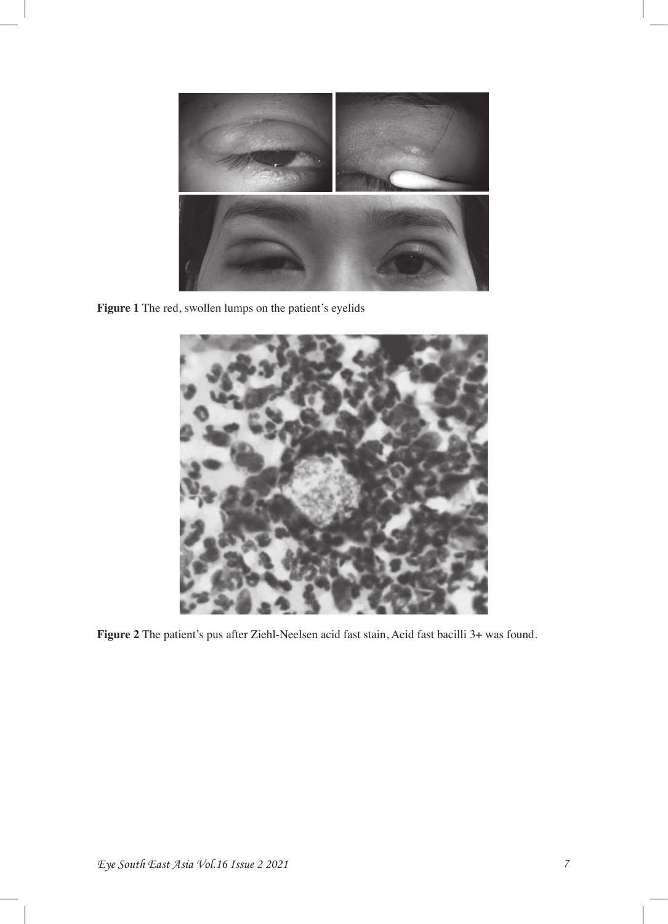

**Figure 1** The red, swollen lumps on the patient's eyelids



**Figure 2** The patient's pus after Ziehl-Neelsen acid fast stain, Acid fast bacilli 3+ was found.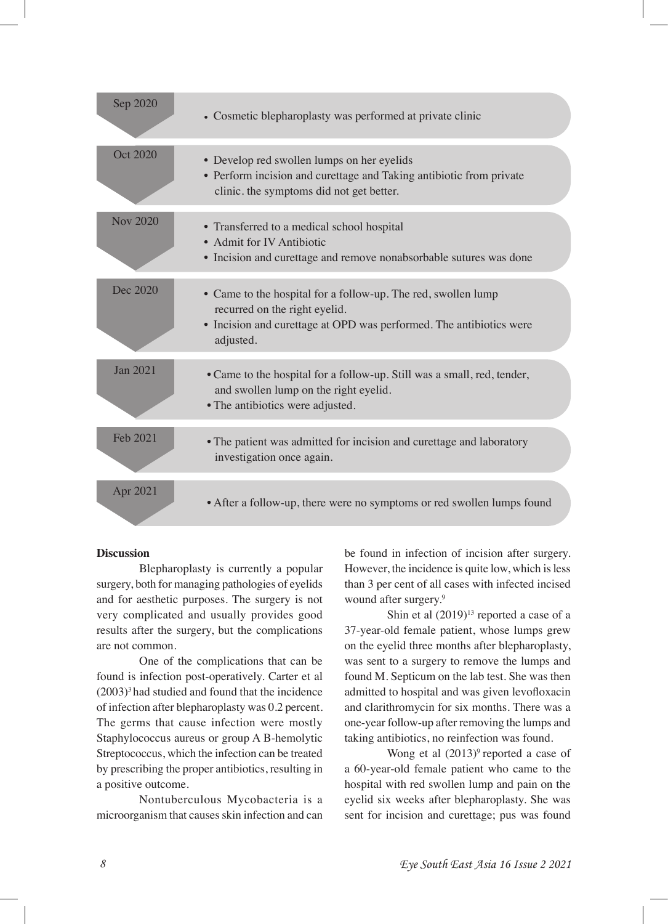| Sep 2020        | • Cosmetic blepharoplasty was performed at private clinic                                                                                                                          |
|-----------------|------------------------------------------------------------------------------------------------------------------------------------------------------------------------------------|
| Oct 2020        | • Develop red swollen lumps on her eyelids<br>• Perform incision and curettage and Taking antibiotic from private<br>clinic. the symptoms did not get better.                      |
| <b>Nov 2020</b> | • Transferred to a medical school hospital<br>• Admit for IV Antibiotic<br>• Incision and curettage and remove nonabsorbable sutures was done                                      |
| Dec 2020        | • Came to the hospital for a follow-up. The red, swollen lump<br>recurred on the right eyelid.<br>• Incision and curettage at OPD was performed. The antibiotics were<br>adjusted. |
| Jan 2021        | • Came to the hospital for a follow-up. Still was a small, red, tender,<br>and swollen lump on the right eyelid.<br>• The antibiotics were adjusted.                               |
| Feb 2021        | • The patient was admitted for incision and curettage and laboratory<br>investigation once again.                                                                                  |
| Apr 2021        | • After a follow-up, there were no symptoms or red swollen lumps found                                                                                                             |

## **Discussion**

Blepharoplasty is currently a popular surgery, both for managing pathologies of eyelids and for aesthetic purposes. The surgery is not very complicated and usually provides good results after the surgery, but the complications are not common.

One of the complications that can be found is infection post-operatively. Carter et al  $(2003)^3$  had studied and found that the incidence of infection after blepharoplasty was 0.2 percent. The germs that cause infection were mostly Staphylococcus aureus or group A B-hemolytic Streptococcus, which the infection can be treated by prescribing the proper antibiotics, resulting in a positive outcome.

Nontuberculous Mycobacteria is a microorganism that causes skin infection and can

be found in infection of incision after surgery. However, the incidence is quite low, which is less than 3 per cent of all cases with infected incised wound after surgery.<sup>9</sup>

Shin et al  $(2019)^{13}$  reported a case of a 37-year-old female patient, whose lumps grew on the eyelid three months after blepharoplasty, was sent to a surgery to remove the lumps and found M. Septicum on the lab test. She was then admitted to hospital and was given levofoxacin and clarithromycin for six months. There was a one-year follow-up after removing the lumps and taking antibiotics, no reinfection was found.

Wong et al  $(2013)^9$  reported a case of a 60-year-old female patient who came to the hospital with red swollen lump and pain on the eyelid six weeks after blepharoplasty. She was sent for incision and curettage; pus was found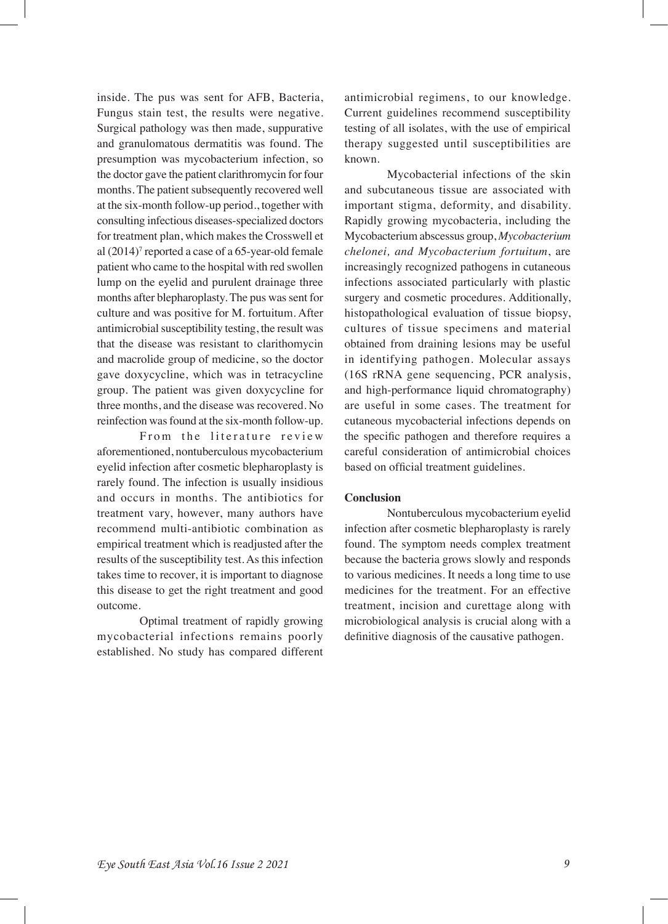inside. The pus was sent for AFB, Bacteria, Fungus stain test, the results were negative. Surgical pathology was then made, suppurative and granulomatous dermatitis was found. The presumption was mycobacterium infection, so the doctor gave the patient clarithromycin for four months. The patient subsequently recovered well at the six-month follow-up period., together with consulting infectious diseases-specialized doctors for treatment plan, which makes the Crosswell et al  $(2014)^7$  reported a case of a 65-year-old female patient who came to the hospital with red swollen lump on the eyelid and purulent drainage three months after blepharoplasty. The pus was sent for culture and was positive for M. fortuitum. After antimicrobial susceptibility testing, the result was that the disease was resistant to clarithomycin and macrolide group of medicine, so the doctor gave doxycycline, which was in tetracycline group. The patient was given doxycycline for three months, and the disease was recovered. No reinfection was found at the six-month follow-up.

From the literature review aforementioned, nontuberculous mycobacterium eyelid infection after cosmetic blepharoplasty is rarely found. The infection is usually insidious and occurs in months. The antibiotics for treatment vary, however, many authors have recommend multi-antibiotic combination as empirical treatment which is readjusted after the results of the susceptibility test. As this infection takes time to recover, it is important to diagnose this disease to get the right treatment and good outcome.

Optimal treatment of rapidly growing mycobacterial infections remains poorly established. No study has compared different antimicrobial regimens, to our knowledge. Current guidelines recommend susceptibility testing of all isolates, with the use of empirical therapy suggested until susceptibilities are known.

Mycobacterial infections of the skin and subcutaneous tissue are associated with important stigma, deformity, and disability. Rapidly growing mycobacteria, including the Mycobacterium abscessus group, *Mycobacterium chelonei, and Mycobacterium fortuitum*, are increasingly recognized pathogens in cutaneous infections associated particularly with plastic surgery and cosmetic procedures. Additionally, histopathological evaluation of tissue biopsy, cultures of tissue specimens and material obtained from draining lesions may be useful in identifying pathogen. Molecular assays (16S rRNA gene sequencing, PCR analysis, and high-performance liquid chromatography) are useful in some cases. The treatment for cutaneous mycobacterial infections depends on the specifc pathogen and therefore requires a careful consideration of antimicrobial choices based on official treatment guidelines.

## **Conclusion**

Nontuberculous mycobacterium eyelid infection after cosmetic blepharoplasty is rarely found. The symptom needs complex treatment because the bacteria grows slowly and responds to various medicines. It needs a long time to use medicines for the treatment. For an effective treatment, incision and curettage along with microbiological analysis is crucial along with a defnitive diagnosis of the causative pathogen.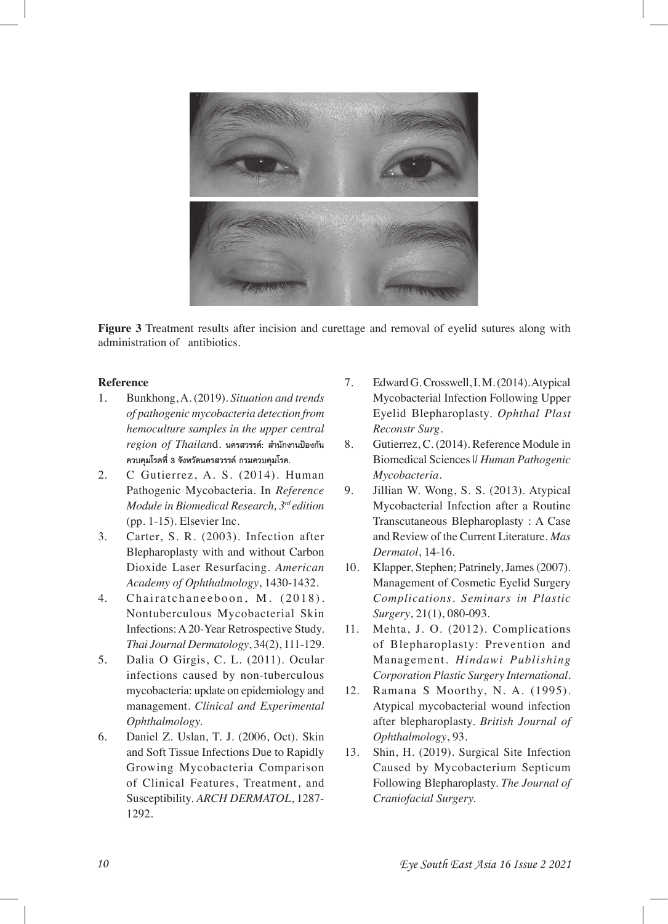

**Figure 3** Treatment results after incision and curettage and removal of eyelid sutures along with administration of antibiotics.

# **Reference**

- 1. Bunkhong, A. (2019). *Situation and trends of pathogenic mycobacteria detection from hemoculture samples in the upper central region of Thailan*d. **นครสวรรค์: สํานักงานป้องกัน ควบคุมโรคที่ 3 จังหวัดนครสวรรค์กรมควบคุมโรค.**
- 2. C Gutierrez, A. S. (2014). Human Pathogenic Mycobacteria. In *Reference Module in Biomedical Research, 3rd edition* (pp. 1-15). Elsevier Inc.
- 3. Carter, S. R. (2003). Infection after Blepharoplasty with and without Carbon Dioxide Laser Resurfacing. *American Academy of Ophthalmology*, 1430-1432.
- 4. Chairatchaneeboon, M. (2018). Nontuberculous Mycobacterial Skin Infections: A 20-Year Retrospective Study. *Thai Journal Dermatology*, 34(2), 111-129.
- 5. Dalia O Girgis, C. L. (2011). Ocular infections caused by non-tuberculous mycobacteria: update on epidemiology and management. *Clinical and Experimental Ophthalmology.*
- 6. Daniel Z. Uslan, T. J. (2006, Oct). Skin and Soft Tissue Infections Due to Rapidly Growing Mycobacteria Comparison of Clinical Features, Treatment, and Susceptibility. *ARCH DERMATOL*, 1287- 1292.
- 7. Edward G. Crosswell, I. M. (2014). Atypical Mycobacterial Infection Following Upper Eyelid Blepharoplasty. *Ophthal Plast Reconstr Surg*.
- 8. Gutierrez, C. (2014). Reference Module in Biomedical Sciences |*| Human Pathogenic Mycobacteria*.
- 9. Jillian W. Wong, S. S. (2013). Atypical Mycobacterial Infection after a Routine Transcutaneous Blepharoplasty : A Case and Review of the Current Literature. *Mas Dermatol*, 14-16.
- 10. Klapper, Stephen; Patrinely, James (2007). Management of Cosmetic Eyelid Surgery *Complications. Seminars in Plastic Surgery*, 21(1), 080-093.
- 11. Mehta, J. O. (2012). Complications of Blepharoplasty: Prevention and Management. *Hindawi Publishing Corporation Plastic Surgery International*.
- 12. Ramana S Moorthy, N. A. (1995). Atypical mycobacterial wound infection after blepharoplasty. *British Journal of Ophthalmology*, 93.
- 13. Shin, H. (2019). Surgical Site Infection Caused by Mycobacterium Septicum Following Blepharoplasty. *The Journal of Craniofacial Surgery.*